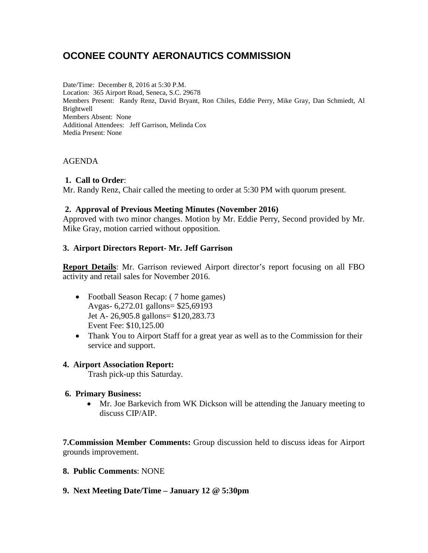# **OCONEE COUNTY AERONAUTICS COMMISSION**

Date/Time: December 8, 2016 at 5:30 P.M. Location: 365 Airport Road, Seneca, S.C. 29678 Members Present: Randy Renz, David Bryant, Ron Chiles, Eddie Perry, Mike Gray, Dan Schmiedt, Al **Brightwell** Members Absent: None Additional Attendees: Jeff Garrison, Melinda Cox Media Present: None

# AGENDA

# **1. Call to Order**:

Mr. Randy Renz, Chair called the meeting to order at 5:30 PM with quorum present.

# **2. Approval of Previous Meeting Minutes (November 2016)**

Approved with two minor changes. Motion by Mr. Eddie Perry, Second provided by Mr. Mike Gray, motion carried without opposition.

# **3. Airport Directors Report- Mr. Jeff Garrison**

**Report Details**: Mr. Garrison reviewed Airport director's report focusing on all FBO activity and retail sales for November 2016.

- Football Season Recap: (7 home games) Avgas- 6,272.01 gallons= \$25,69193 Jet A- 26,905.8 gallons= \$120,283.73 Event Fee: \$10,125.00
- Thank You to Airport Staff for a great year as well as to the Commission for their service and support.

# **4. Airport Association Report:**

Trash pick-up this Saturday.

# **6. Primary Business:**

• Mr. Joe Barkevich from WK Dickson will be attending the January meeting to discuss CIP/AIP.

**7.Commission Member Comments:** Group discussion held to discuss ideas for Airport grounds improvement.

#### **8. Public Comments**: NONE

**9. Next Meeting Date/Time – January 12 @ 5:30pm**